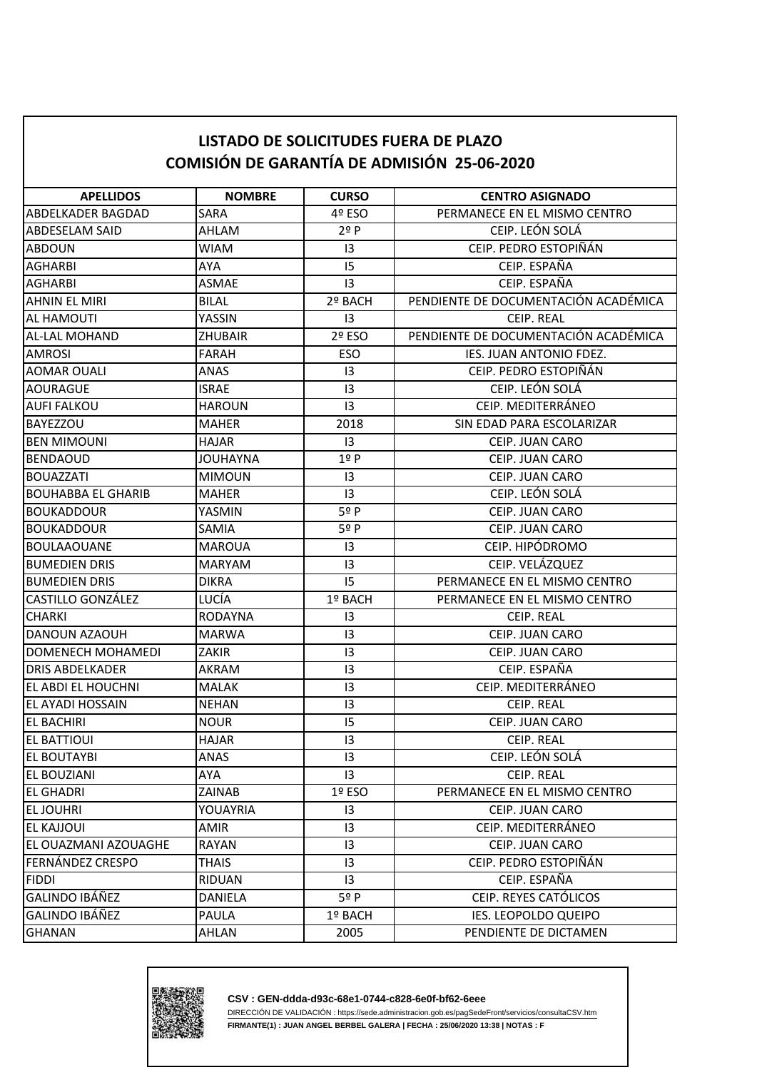## **LISTADO DE SOLICITUDES FUERA DE PLAZO COMISIÓN DE GARANTÍA DE ADMISIÓN 25-06-2020**

| <b>APELLIDOS</b>          | <b>NOMBRE</b>   | <b>CURSO</b> | <b>CENTRO ASIGNADO</b>               |
|---------------------------|-----------------|--------------|--------------------------------------|
| ABDELKADER BAGDAD         | <b>SARA</b>     | 4º ESO       | PERMANECE EN EL MISMO CENTRO         |
| <b>ABDESELAM SAID</b>     | AHLAM           | $2^{\circ}P$ | CEIP. LEÓN SOLÁ                      |
| <b>ABDOUN</b>             | <b>WIAM</b>     | 13           | CEIP. PEDRO ESTOPIÑÁN                |
| <b>AGHARBI</b>            | AYA             | 15           | CEIP. ESPAÑA                         |
| <b>AGHARBI</b>            | <b>ASMAE</b>    | 3            | CEIP. ESPAÑA                         |
| <b>AHNIN EL MIRI</b>      | <b>BILAL</b>    | 2º BACH      | PENDIENTE DE DOCUMENTACIÓN ACADÉMICA |
| AL HAMOUTI                | YASSIN          | 13           | CEIP. REAL                           |
| <b>AL-LAL MOHAND</b>      | <b>ZHUBAIR</b>  | 2º ESO       | PENDIENTE DE DOCUMENTACIÓN ACADÉMICA |
| <b>AMROSI</b>             | <b>FARAH</b>    | ESO          | IES. JUAN ANTONIO FDEZ.              |
| <b>AOMAR OUALI</b>        | <b>ANAS</b>     | 13           | CEIP. PEDRO ESTOPIÑÁN                |
| <b>AOURAGUE</b>           | <b>ISRAE</b>    | 13           | CEIP. LEÓN SOLÁ                      |
| <b>AUFI FALKOU</b>        | <b>HAROUN</b>   | 13           | CEIP. MEDITERRÁNEO                   |
| <b>BAYEZZOU</b>           | <b>MAHER</b>    | 2018         | SIN EDAD PARA ESCOLARIZAR            |
| <b>BEN MIMOUNI</b>        | <b>HAJAR</b>    | 13           | CEIP. JUAN CARO                      |
| <b>BENDAOUD</b>           | <b>JOUHAYNA</b> | $1°$ P       | CEIP. JUAN CARO                      |
| <b>BOUA77ATI</b>          | <b>MIMOUN</b>   | 13           | CEIP. JUAN CARO                      |
| <b>BOUHABBA EL GHARIB</b> | <b>MAHER</b>    | 13           | CEIP. LEÓN SOLÁ                      |
| <b>BOUKADDOUR</b>         | YASMIN          | 5º P         | CEIP. JUAN CARO                      |
| <b>BOUKADDOUR</b>         | <b>SAMIA</b>    | 5º P         | CEIP. JUAN CARO                      |
| <b>BOULAAOUANE</b>        | <b>MAROUA</b>   | 13           | CEIP. HIPÓDROMO                      |
| <b>BUMEDIEN DRIS</b>      | <b>MARYAM</b>   | 13           | CEIP. VELÁZQUEZ                      |
| <b>BUMEDIEN DRIS</b>      | <b>DIKRA</b>    | 15           | PERMANECE EN EL MISMO CENTRO         |
| <b>CASTILLO GONZÁLEZ</b>  | LUCÍA           | 1º BACH      | PERMANECE EN EL MISMO CENTRO         |
| <b>CHARKI</b>             | <b>RODAYNA</b>  | 13.          | <b>CEIP. REAL</b>                    |
| <b>DANOUN AZAOUH</b>      | <b>MARWA</b>    | 13           | CEIP. JUAN CARO                      |
| DOMENECH MOHAMEDI         | ZAKIR           | 13           | CEIP. JUAN CARO                      |
| <b>DRIS ABDELKADER</b>    | AKRAM           | 13           | CEIP. ESPAÑA                         |
| EL ABDI EL HOUCHNI        | <b>MALAK</b>    | 3            | CEIP. MEDITERRÁNEO                   |
| <b>EL AYADI HOSSAIN</b>   | <b>NEHAN</b>    | 13           | CEIP. REAL                           |
| <b>EL BACHIRI</b>         | <b>NOUR</b>     | 15           | <b>CEIP. JUAN CARO</b>               |
| <b>EL BATTIOUI</b>        | <b>HAJAR</b>    | 13           | <b>CEIP. REAL</b>                    |
| <b>EL BOUTAYBI</b>        | ANAS            | 13           | CEIP. LEÓN SOLÁ                      |
| <b>EL BOUZIANI</b>        | AYA             | 13           | CEIP. REAL                           |
| <b>EL GHADRI</b>          | ZAINAB          | 1º ESO       | PERMANECE EN EL MISMO CENTRO         |
| <b>EL JOUHRI</b>          | YOUAYRIA        | 13           | CEIP. JUAN CARO                      |
| <b>EL KAJJOUI</b>         | AMIR            | 13           | CEIP. MEDITERRÁNEO                   |
| EL OUAZMANI AZOUAGHE      | RAYAN           | 13           | CEIP. JUAN CARO                      |
| <b>FERNÁNDEZ CRESPO</b>   | <b>THAIS</b>    | 13           | CEIP. PEDRO ESTOPIÑÁN                |
| <b>FIDDI</b>              | RIDUAN          | 13           | CEIP. ESPAÑA                         |
| GALINDO IBÁÑEZ            | DANIELA         | 5º P         | CEIP. REYES CATÓLICOS                |
| <b>GALINDO IBÁNEZ</b>     | PAULA           | 1º BACH      | IES. LEOPOLDO QUEIPO                 |
| <b>GHANAN</b>             | AHLAN           | 2005         | PENDIENTE DE DICTAMEN                |



**CSV : GEN-ddda-d93c-68e1-0744-c828-6e0f-bf62-6eee**

DIRECCIÓN DE VALIDACIÓN : https://sede.administracion.gob.es/pagSedeFront/servicios/consultaCSV.htm **FIRMANTE(1) : JUAN ANGEL BERBEL GALERA | FECHA : 25/06/2020 13:38 | NOTAS : F**